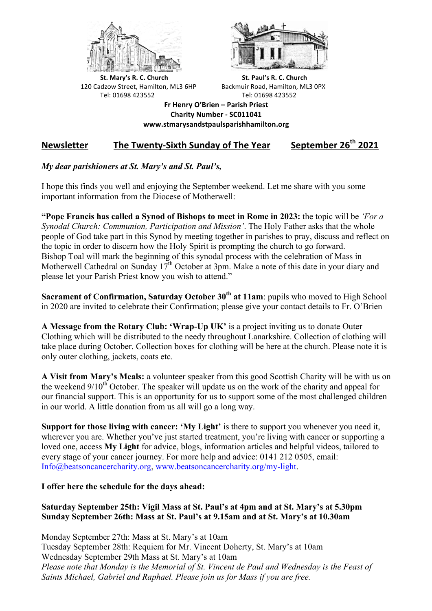



**St.** Mary's R. C. Church St. Paul's R. C. Church 120 Cadzow Street, Hamilton, ML3 6HP Backmuir Road, Hamilton, ML3 0PX Tel: 01698 423552 Tel: 01698 423552

**Fr Henry O'Brien – Parish Priest Charity Number - SC011041 www.stmarysandstpaulsparishhamilton.org**

## Newsletter The Twenty-Sixth Sunday of The Year September 26<sup>th</sup> 2021

## *My dear parishioners at St. Mary's and St. Paul's,*

I hope this finds you well and enjoying the September weekend. Let me share with you some important information from the Diocese of Motherwell:

**"Pope Francis has called a Synod of Bishops to meet in Rome in 2023:** the topic will be *'For a Synodal Church: Communion, Participation and Mission'*. The Holy Father asks that the whole people of God take part in this Synod by meeting together in parishes to pray, discuss and reflect on the topic in order to discern how the Holy Spirit is prompting the church to go forward. Bishop Toal will mark the beginning of this synodal process with the celebration of Mass in Motherwell Cathedral on Sunday  $17<sup>th</sup>$  October at 3pm. Make a note of this date in your diary and please let your Parish Priest know you wish to attend."

**Sacrament of Confirmation, Saturday October 30th at 11am**: pupils who moved to High School in 2020 are invited to celebrate their Confirmation; please give your contact details to Fr. O'Brien

**A Message from the Rotary Club: 'Wrap-Up UK'** is a project inviting us to donate Outer Clothing which will be distributed to the needy throughout Lanarkshire. Collection of clothing will take place during October. Collection boxes for clothing will be here at the church. Please note it is only outer clothing, jackets, coats etc.

**A Visit from Mary's Meals:** a volunteer speaker from this good Scottish Charity will be with us on the weekend  $9/10<sup>th</sup>$  October. The speaker will update us on the work of the charity and appeal for our financial support. This is an opportunity for us to support some of the most challenged children in our world. A little donation from us all will go a long way.

**Support for those living with cancer: 'My Light'** is there to support you whenever you need it, wherever you are. Whether you've just started treatment, you're living with cancer or supporting a loved one, access **My Light** for advice, blogs, information articles and helpful videos, tailored to every stage of your cancer journey. For more help and advice: 0141 212 0505, email: Info@beatsoncancercharity.org, www.beatsoncancercharity.org/my-light.

## **I offer here the schedule for the days ahead:**

## **Saturday September 25th: Vigil Mass at St. Paul's at 4pm and at St. Mary's at 5.30pm Sunday September 26th: Mass at St. Paul's at 9.15am and at St. Mary's at 10.30am**

Monday September 27th: Mass at St. Mary's at 10am Tuesday September 28th: Requiem for Mr. Vincent Doherty, St. Mary's at 10am Wednesday September 29th Mass at St. Mary's at 10am *Please note that Monday is the Memorial of St. Vincent de Paul and Wednesday is the Feast of Saints Michael, Gabriel and Raphael. Please join us for Mass if you are free.*